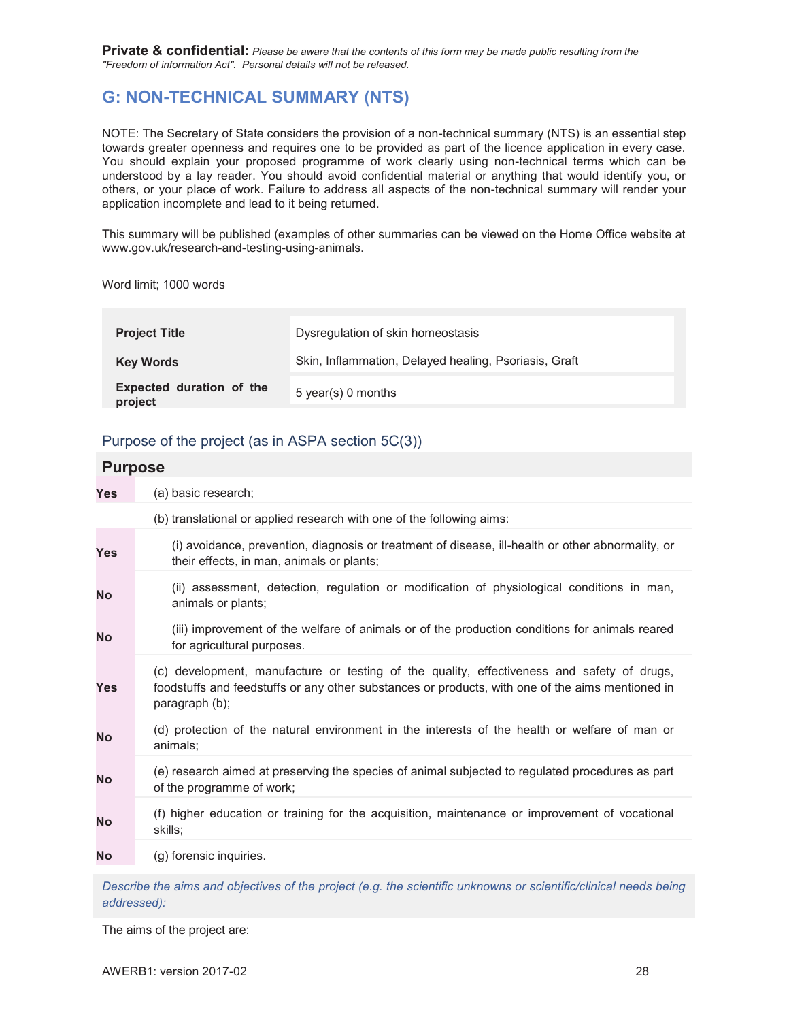**Private & confidential:** *Please be aware that the contents of this form may be made public resulting from the "Freedom of information Act". Personal details will not be released.* 

# **G: NON-TECHNICAL SUMMARY (NTS)**

NOTE: The Secretary of State considers the provision of a non-technical summary (NTS) is an essential step towards greater openness and requires one to be provided as part of the licence application in every case. You should explain your proposed programme of work clearly using non-technical terms which can be understood by a lay reader. You should avoid confidential material or anything that would identify you, or others, or your place of work. Failure to address all aspects of the non-technical summary will render your application incomplete and lead to it being returned.

This summary will be published (examples of other summaries can be viewed on the Home Office website at www.gov.uk/research-and-testing-using-animals.

Word limit; 1000 words

| <b>Project Title</b>                | Dysregulation of skin homeostasis                     |
|-------------------------------------|-------------------------------------------------------|
| <b>Key Words</b>                    | Skin, Inflammation, Delayed healing, Psoriasis, Graft |
| Expected duration of the<br>project | 5 year(s) 0 months                                    |

# Purpose of the project (as in ASPA section 5C(3))

| <b>Purpose</b> |                                                                                                                                                                                                                  |
|----------------|------------------------------------------------------------------------------------------------------------------------------------------------------------------------------------------------------------------|
| Yes            | (a) basic research;                                                                                                                                                                                              |
|                | (b) translational or applied research with one of the following aims:                                                                                                                                            |
| <b>Yes</b>     | (i) avoidance, prevention, diagnosis or treatment of disease, ill-health or other abnormality, or<br>their effects, in man, animals or plants;                                                                   |
| <b>No</b>      | (ii) assessment, detection, regulation or modification of physiological conditions in man,<br>animals or plants;                                                                                                 |
| <b>No</b>      | (iii) improvement of the welfare of animals or of the production conditions for animals reared<br>for agricultural purposes.                                                                                     |
| <b>Yes</b>     | (c) development, manufacture or testing of the quality, effectiveness and safety of drugs,<br>foodstuffs and feedstuffs or any other substances or products, with one of the aims mentioned in<br>paragraph (b); |
| <b>No</b>      | (d) protection of the natural environment in the interests of the health or welfare of man or<br>animals;                                                                                                        |
| <b>No</b>      | (e) research aimed at preserving the species of animal subjected to regulated procedures as part<br>of the programme of work;                                                                                    |
| <b>No</b>      | (f) higher education or training for the acquisition, maintenance or improvement of vocational<br>skills;                                                                                                        |
| <b>No</b>      | (g) forensic inquiries.                                                                                                                                                                                          |
|                |                                                                                                                                                                                                                  |

*Describe the aims and objectives of the project (e.g. the scientific unknowns or scientific/clinical needs being addressed):* 

The aims of the project are: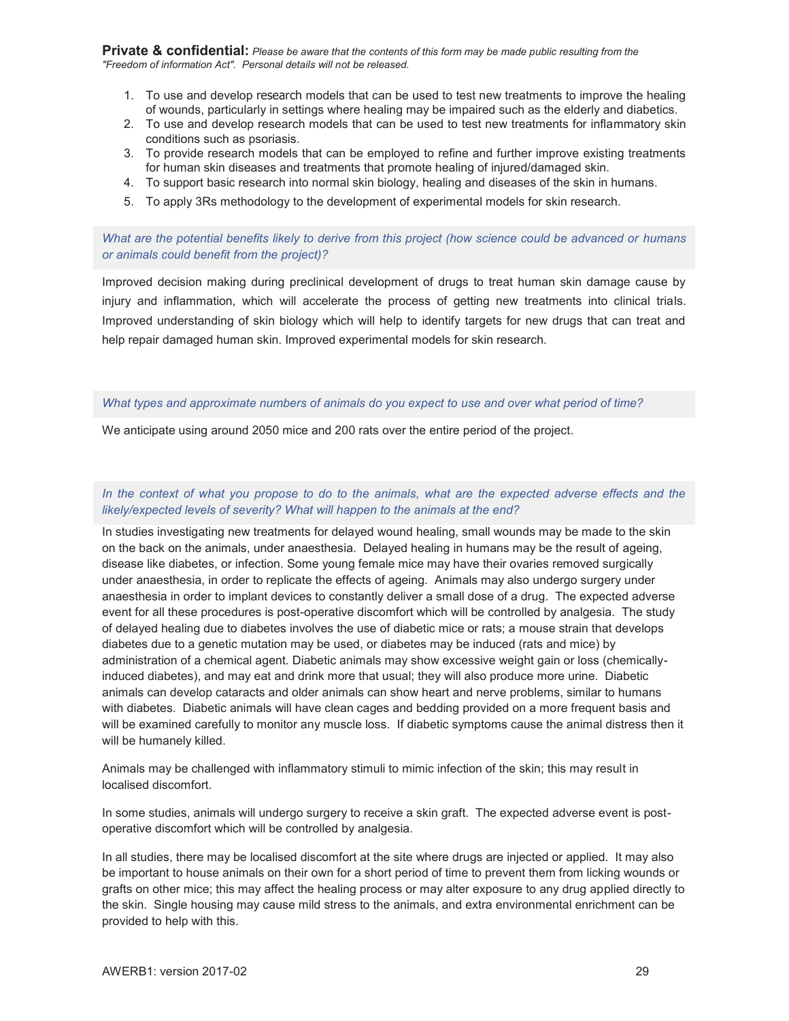**Private & confidential:** *Please be aware that the contents of this form may be made public resulting from the "Freedom of information Act". Personal details will not be released.* 

- 1. To use and develop research models that can be used to test new treatments to improve the healing of wounds, particularly in settings where healing may be impaired such as the elderly and diabetics.
- 2. To use and develop research models that can be used to test new treatments for inflammatory skin conditions such as psoriasis.
- 3. To provide research models that can be employed to refine and further improve existing treatments for human skin diseases and treatments that promote healing of injured/damaged skin.
- 4. To support basic research into normal skin biology, healing and diseases of the skin in humans.
- 5. To apply 3Rs methodology to the development of experimental models for skin research.

*What are the potential benefits likely to derive from this project (how science could be advanced or humans or animals could benefit from the project)?* 

Improved decision making during preclinical development of drugs to treat human skin damage cause by injury and inflammation, which will accelerate the process of getting new treatments into clinical trials. Improved understanding of skin biology which will help to identify targets for new drugs that can treat and help repair damaged human skin. Improved experimental models for skin research.

#### *What types and approximate numbers of animals do you expect to use and over what period of time?*

We anticipate using around 2050 mice and 200 rats over the entire period of the project.

# *In the context of what you propose to do to the animals, what are the expected adverse effects and the likely/expected levels of severity? What will happen to the animals at the end?*

In studies investigating new treatments for delayed wound healing, small wounds may be made to the skin on the back on the animals, under anaesthesia. Delayed healing in humans may be the result of ageing, disease like diabetes, or infection. Some young female mice may have their ovaries removed surgically under anaesthesia, in order to replicate the effects of ageing. Animals may also undergo surgery under anaesthesia in order to implant devices to constantly deliver a small dose of a drug. The expected adverse event for all these procedures is post-operative discomfort which will be controlled by analgesia. The study of delayed healing due to diabetes involves the use of diabetic mice or rats; a mouse strain that develops diabetes due to a genetic mutation may be used, or diabetes may be induced (rats and mice) by administration of a chemical agent. Diabetic animals may show excessive weight gain or loss (chemicallyinduced diabetes), and may eat and drink more that usual; they will also produce more urine. Diabetic animals can develop cataracts and older animals can show heart and nerve problems, similar to humans with diabetes. Diabetic animals will have clean cages and bedding provided on a more frequent basis and will be examined carefully to monitor any muscle loss. If diabetic symptoms cause the animal distress then it will be humanely killed.

Animals may be challenged with inflammatory stimuli to mimic infection of the skin; this may result in localised discomfort.

In some studies, animals will undergo surgery to receive a skin graft. The expected adverse event is postoperative discomfort which will be controlled by analgesia.

In all studies, there may be localised discomfort at the site where drugs are injected or applied. It may also be important to house animals on their own for a short period of time to prevent them from licking wounds or grafts on other mice; this may affect the healing process or may alter exposure to any drug applied directly to the skin. Single housing may cause mild stress to the animals, and extra environmental enrichment can be provided to help with this.